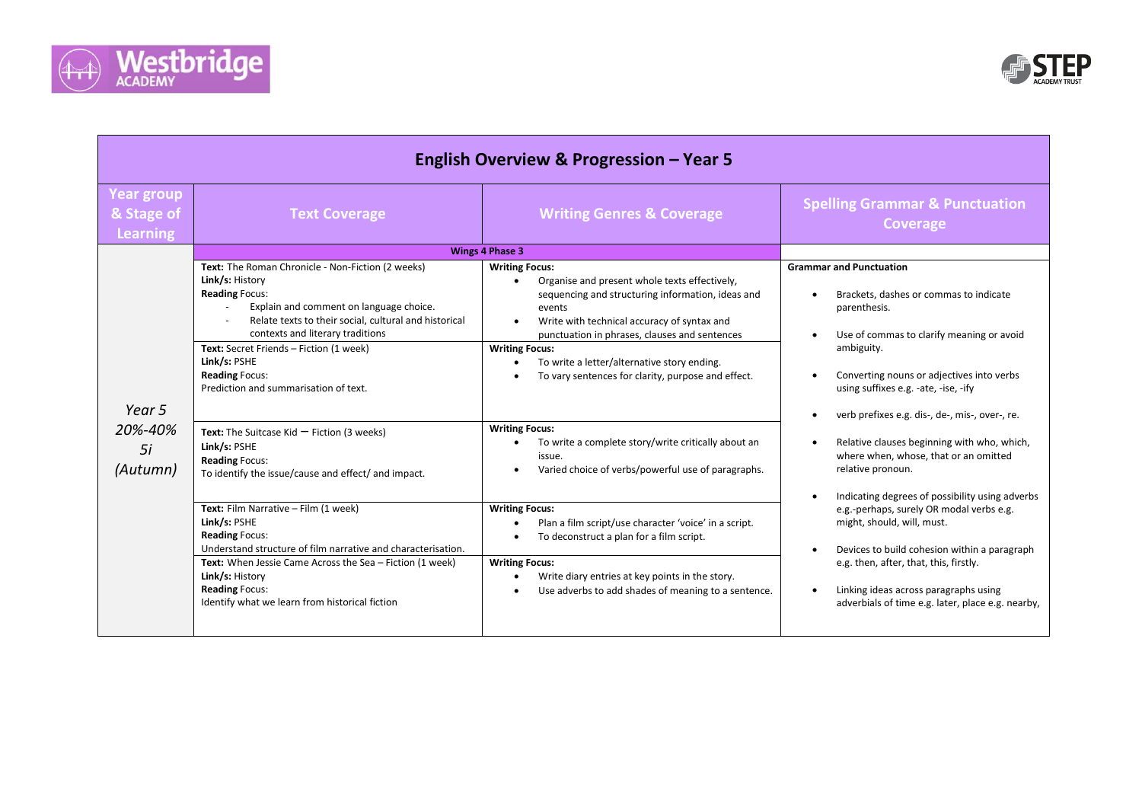



| English Overview & Progression - Year 5            |                                                                                                                                                                                                                                       |                                                                                                                                                                                                                                                    |                                                                                                                                                                                                                                                                                                                                |
|----------------------------------------------------|---------------------------------------------------------------------------------------------------------------------------------------------------------------------------------------------------------------------------------------|----------------------------------------------------------------------------------------------------------------------------------------------------------------------------------------------------------------------------------------------------|--------------------------------------------------------------------------------------------------------------------------------------------------------------------------------------------------------------------------------------------------------------------------------------------------------------------------------|
| <b>Year group</b><br>& Stage of<br><b>Learning</b> | <b>Text Coverage</b>                                                                                                                                                                                                                  | <b>Writing Genres &amp; Coverage</b>                                                                                                                                                                                                               | <b>Spelling Grammar &amp; Punctuation</b><br>Coverage                                                                                                                                                                                                                                                                          |
|                                                    |                                                                                                                                                                                                                                       | Wings 4 Phase 3                                                                                                                                                                                                                                    |                                                                                                                                                                                                                                                                                                                                |
|                                                    | Text: The Roman Chronicle - Non-Fiction (2 weeks)<br>Link/s: History<br><b>Reading Focus:</b><br>Explain and comment on language choice.<br>Relate texts to their social, cultural and historical<br>contexts and literary traditions | <b>Writing Focus:</b><br>Organise and present whole texts effectively,<br>$\bullet$<br>sequencing and structuring information, ideas and<br>events<br>Write with technical accuracy of syntax and<br>punctuation in phrases, clauses and sentences | <b>Grammar and Punctuation</b><br>Brackets, dashes or commas to indicate<br>parenthesis.<br>Use of commas to clarify meaning or avoid<br>$\bullet$                                                                                                                                                                             |
| Year 5<br>20%-40%<br>5i<br>(Autumn)                | Text: Secret Friends - Fiction (1 week)<br>Link/s: PSHE<br><b>Reading Focus:</b><br>Prediction and summarisation of text.                                                                                                             | <b>Writing Focus:</b><br>To write a letter/alternative story ending.<br>To vary sentences for clarity, purpose and effect.                                                                                                                         | ambiguity.<br>Converting nouns or adjectives into verbs<br>using suffixes e.g. -ate, -ise, -ify<br>verb prefixes e.g. dis-, de-, mis-, over-, re.<br>Relative clauses beginning with who, which,<br>$\bullet$<br>where when, whose, that or an omitted<br>relative pronoun.<br>Indicating degrees of possibility using adverbs |
|                                                    | Text: The Suitcase Kid $-$ Fiction (3 weeks)<br>Link/s: PSHE<br><b>Reading Focus:</b><br>To identify the issue/cause and effect/ and impact.                                                                                          | <b>Writing Focus:</b><br>To write a complete story/write critically about an<br>issue.<br>Varied choice of verbs/powerful use of paragraphs.                                                                                                       |                                                                                                                                                                                                                                                                                                                                |
|                                                    | Text: Film Narrative - Film (1 week)<br>Link/s: PSHE<br><b>Reading Focus:</b><br>Understand structure of film narrative and characterisation.                                                                                         | <b>Writing Focus:</b><br>Plan a film script/use character 'voice' in a script.<br>To deconstruct a plan for a film script.                                                                                                                         | e.g.-perhaps, surely OR modal verbs e.g.<br>might, should, will, must.<br>Devices to build cohesion within a paragraph<br>$\bullet$                                                                                                                                                                                            |
|                                                    | Text: When Jessie Came Across the Sea - Fiction (1 week)<br>Link/s: History<br><b>Reading Focus:</b><br>Identify what we learn from historical fiction                                                                                | <b>Writing Focus:</b><br>Write diary entries at key points in the story.<br>Use adverbs to add shades of meaning to a sentence.                                                                                                                    | e.g. then, after, that, this, firstly.<br>Linking ideas across paragraphs using<br>$\bullet$<br>adverbials of time e.g. later, place e.g. nearby,                                                                                                                                                                              |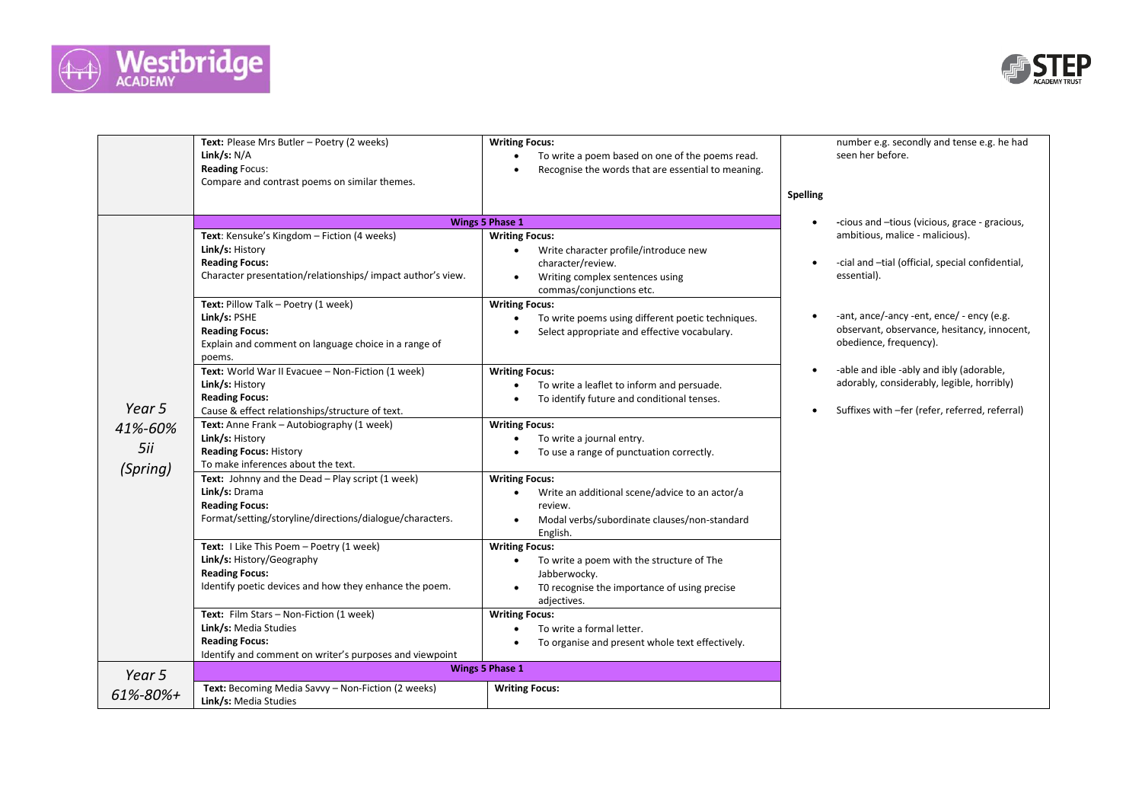



|                                      | Text: Please Mrs Butler - Poetry (2 weeks)<br>Link/s: $N/A$<br><b>Reading Focus:</b><br>Compare and contrast poems on similar themes.                                                                                                                                                                                                                                                                                                                                                                                                                                                                                                                                                                                                                                                                                                                                                                                                                                                                                                                                                                      | <b>Writing Focus:</b><br>To write a poem based on one of the poems read.<br>Recognise the words that are essential to meaning.                                                                                                                                                                                                                                                                                                                                                                                                                                                                                                                                                                                                                                                                                                                                                                                                                                                                                                                                                                                                                                                                                                                                                                                                                                                                                                                                                     | number e.g. secondly and tense e.g. he had<br>seen her before.<br>Spelling |
|--------------------------------------|------------------------------------------------------------------------------------------------------------------------------------------------------------------------------------------------------------------------------------------------------------------------------------------------------------------------------------------------------------------------------------------------------------------------------------------------------------------------------------------------------------------------------------------------------------------------------------------------------------------------------------------------------------------------------------------------------------------------------------------------------------------------------------------------------------------------------------------------------------------------------------------------------------------------------------------------------------------------------------------------------------------------------------------------------------------------------------------------------------|------------------------------------------------------------------------------------------------------------------------------------------------------------------------------------------------------------------------------------------------------------------------------------------------------------------------------------------------------------------------------------------------------------------------------------------------------------------------------------------------------------------------------------------------------------------------------------------------------------------------------------------------------------------------------------------------------------------------------------------------------------------------------------------------------------------------------------------------------------------------------------------------------------------------------------------------------------------------------------------------------------------------------------------------------------------------------------------------------------------------------------------------------------------------------------------------------------------------------------------------------------------------------------------------------------------------------------------------------------------------------------------------------------------------------------------------------------------------------------|----------------------------------------------------------------------------|
|                                      |                                                                                                                                                                                                                                                                                                                                                                                                                                                                                                                                                                                                                                                                                                                                                                                                                                                                                                                                                                                                                                                                                                            |                                                                                                                                                                                                                                                                                                                                                                                                                                                                                                                                                                                                                                                                                                                                                                                                                                                                                                                                                                                                                                                                                                                                                                                                                                                                                                                                                                                                                                                                                    |                                                                            |
| Year 5<br>41%-60%<br>5ii<br>(Spring) | Text: Kensuke's Kingdom - Fiction (4 weeks)<br>Link/s: History<br><b>Reading Focus:</b><br>Character presentation/relationships/impact author's view.<br>Text: Pillow Talk - Poetry (1 week)<br>Link/s: PSHE<br><b>Reading Focus:</b><br>Explain and comment on language choice in a range of<br>poems.<br>Text: World War II Evacuee - Non-Fiction (1 week)<br>Link/s: History<br><b>Reading Focus:</b><br>Cause & effect relationships/structure of text.<br>Text: Anne Frank - Autobiography (1 week)<br>Link/s: History<br><b>Reading Focus: History</b><br>To make inferences about the text.<br>Text: Johnny and the Dead - Play script (1 week)<br>Link/s: Drama<br><b>Reading Focus:</b><br>Format/setting/storyline/directions/dialogue/characters.<br>Text: I Like This Poem - Poetry (1 week)<br>Link/s: History/Geography<br><b>Reading Focus:</b><br>Identify poetic devices and how they enhance the poem.<br>Text: Film Stars - Non-Fiction (1 week)<br>Link/s: Media Studies<br><b>Reading Focus:</b><br>Identify and comment on writer's purposes and viewpoint<br><b>Wings 5 Phase 1</b> | <b>Wings 5 Phase 1</b><br>-cious and -tious (vicious, grace - gracious,<br>$\bullet$<br>ambitious, malice - malicious).<br><b>Writing Focus:</b><br>Write character profile/introduce new<br>$\bullet$<br>-cial and -tial (official, special confidential,<br>character/review.<br>$\bullet$<br>essential).<br>Writing complex sentences using<br>$\bullet$<br>commas/conjunctions etc.<br><b>Writing Focus:</b><br>-ant, ance/-ancy -ent, ence/ - ency (e.g.<br>To write poems using different poetic techniques.<br>observant, observance, hesitancy, innocent,<br>Select appropriate and effective vocabulary.<br>obedience, frequency).<br>-able and ible -ably and ibly (adorable,<br><b>Writing Focus:</b><br>$\bullet$<br>adorably, considerably, legible, horribly)<br>To write a leaflet to inform and persuade.<br>To identify future and conditional tenses.<br>Suffixes with -fer (refer, referred, referral)<br>$\bullet$<br><b>Writing Focus:</b><br>To write a journal entry.<br>To use a range of punctuation correctly.<br><b>Writing Focus:</b><br>Write an additional scene/advice to an actor/a<br>$\bullet$<br>review.<br>Modal verbs/subordinate clauses/non-standard<br>English.<br><b>Writing Focus:</b><br>To write a poem with the structure of The<br>$\bullet$<br>Jabberwocky.<br>TO recognise the importance of using precise<br>adjectives.<br><b>Writing Focus:</b><br>To write a formal letter.<br>To organise and present whole text effectively. |                                                                            |
| Year 5<br>61%-80%+                   | Text: Becoming Media Savvy - Non-Fiction (2 weeks)<br>Link/s: Media Studies                                                                                                                                                                                                                                                                                                                                                                                                                                                                                                                                                                                                                                                                                                                                                                                                                                                                                                                                                                                                                                | <b>Writing Focus:</b>                                                                                                                                                                                                                                                                                                                                                                                                                                                                                                                                                                                                                                                                                                                                                                                                                                                                                                                                                                                                                                                                                                                                                                                                                                                                                                                                                                                                                                                              |                                                                            |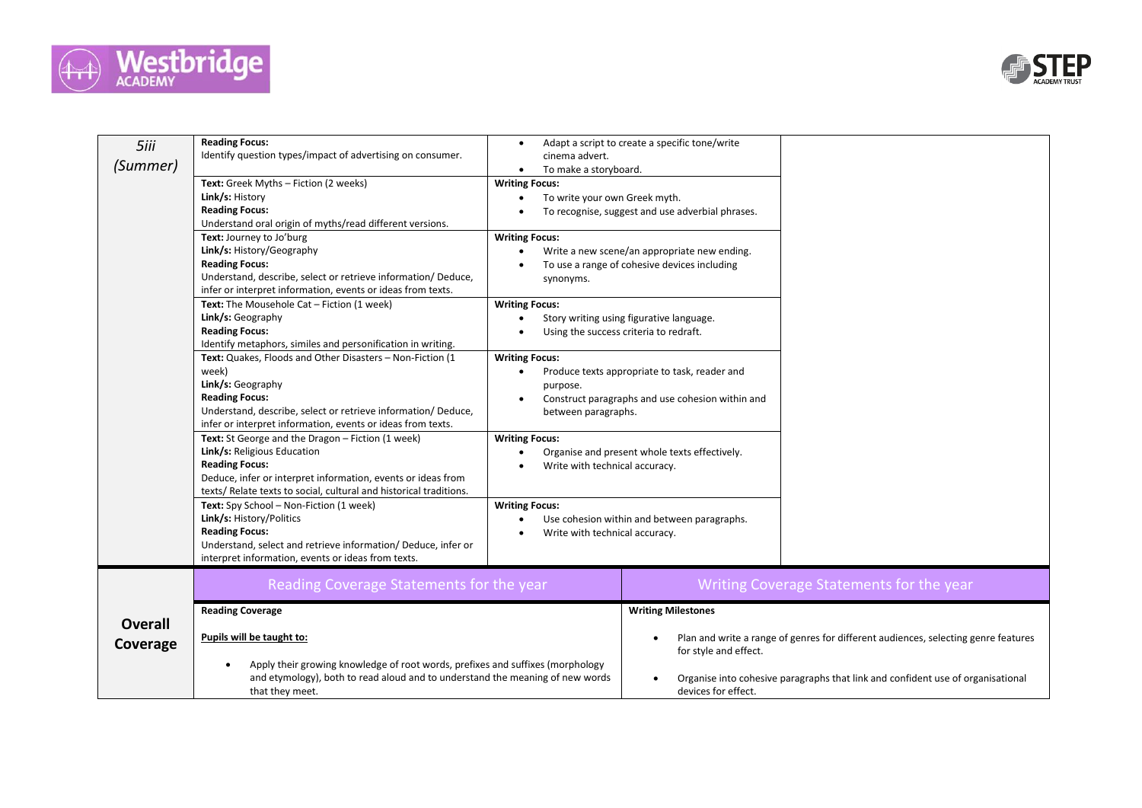



| 5iii           | <b>Reading Focus:</b>                                                                                                                                           | $\bullet$                                              | Adapt a script to create a specific tone/write   |                                                                                    |
|----------------|-----------------------------------------------------------------------------------------------------------------------------------------------------------------|--------------------------------------------------------|--------------------------------------------------|------------------------------------------------------------------------------------|
| (Summer)       | Identify question types/impact of advertising on consumer.                                                                                                      | cinema advert.                                         |                                                  |                                                                                    |
|                |                                                                                                                                                                 | To make a storyboard.<br>$\bullet$                     |                                                  |                                                                                    |
|                | Text: Greek Myths - Fiction (2 weeks)<br>Link/s: History                                                                                                        | <b>Writing Focus:</b><br>To write your own Greek myth. |                                                  |                                                                                    |
|                | <b>Reading Focus:</b>                                                                                                                                           |                                                        | To recognise, suggest and use adverbial phrases. |                                                                                    |
|                | Understand oral origin of myths/read different versions.                                                                                                        |                                                        |                                                  |                                                                                    |
|                | Text: Journey to Jo'burg                                                                                                                                        | <b>Writing Focus:</b>                                  |                                                  |                                                                                    |
|                | Link/s: History/Geography                                                                                                                                       |                                                        | Write a new scene/an appropriate new ending.     |                                                                                    |
|                | <b>Reading Focus:</b>                                                                                                                                           |                                                        | To use a range of cohesive devices including     |                                                                                    |
|                | Understand, describe, select or retrieve information/Deduce,                                                                                                    | synonyms.                                              |                                                  |                                                                                    |
|                | infer or interpret information, events or ideas from texts.                                                                                                     |                                                        |                                                  |                                                                                    |
|                | Text: The Mousehole Cat - Fiction (1 week)                                                                                                                      | <b>Writing Focus:</b>                                  |                                                  |                                                                                    |
|                | Link/s: Geography                                                                                                                                               |                                                        | Story writing using figurative language.         |                                                                                    |
|                | <b>Reading Focus:</b>                                                                                                                                           |                                                        | Using the success criteria to redraft.           |                                                                                    |
|                | Identify metaphors, similes and personification in writing.                                                                                                     |                                                        |                                                  |                                                                                    |
|                | Text: Quakes, Floods and Other Disasters - Non-Fiction (1                                                                                                       | <b>Writing Focus:</b>                                  |                                                  |                                                                                    |
|                | week)                                                                                                                                                           | $\bullet$                                              | Produce texts appropriate to task, reader and    |                                                                                    |
|                | Link/s: Geography<br><b>Reading Focus:</b>                                                                                                                      | purpose.                                               | Construct paragraphs and use cohesion within and |                                                                                    |
|                | Understand, describe, select or retrieve information/ Deduce,                                                                                                   | $\bullet$<br>between paragraphs.                       |                                                  |                                                                                    |
|                | infer or interpret information, events or ideas from texts.                                                                                                     |                                                        |                                                  |                                                                                    |
|                | Text: St George and the Dragon - Fiction (1 week)                                                                                                               | <b>Writing Focus:</b>                                  |                                                  |                                                                                    |
|                | Link/s: Religious Education                                                                                                                                     |                                                        | Organise and present whole texts effectively.    |                                                                                    |
|                | <b>Reading Focus:</b>                                                                                                                                           | Write with technical accuracy.                         |                                                  |                                                                                    |
|                | Deduce, infer or interpret information, events or ideas from                                                                                                    |                                                        |                                                  |                                                                                    |
|                | texts/ Relate texts to social, cultural and historical traditions.                                                                                              |                                                        |                                                  |                                                                                    |
|                | Text: Spy School - Non-Fiction (1 week)                                                                                                                         | <b>Writing Focus:</b>                                  |                                                  |                                                                                    |
|                | Link/s: History/Politics                                                                                                                                        | $\bullet$                                              | Use cohesion within and between paragraphs.      |                                                                                    |
|                | <b>Reading Focus:</b>                                                                                                                                           | Write with technical accuracy.<br>$\bullet$            |                                                  |                                                                                    |
|                | Understand, select and retrieve information/ Deduce, infer or                                                                                                   |                                                        |                                                  |                                                                                    |
|                | interpret information, events or ideas from texts.                                                                                                              |                                                        |                                                  |                                                                                    |
|                | Reading Coverage Statements for the year                                                                                                                        |                                                        |                                                  | Writing Coverage Statements for the year                                           |
|                |                                                                                                                                                                 |                                                        |                                                  |                                                                                    |
|                | <b>Reading Coverage</b>                                                                                                                                         |                                                        | <b>Writing Milestones</b>                        |                                                                                    |
| <b>Overall</b> |                                                                                                                                                                 |                                                        |                                                  |                                                                                    |
| Coverage       | Pupils will be taught to:                                                                                                                                       |                                                        |                                                  | Plan and write a range of genres for different audiences, selecting genre features |
|                |                                                                                                                                                                 |                                                        | for style and effect.                            |                                                                                    |
|                | Apply their growing knowledge of root words, prefixes and suffixes (morphology<br>and etymology), both to read aloud and to understand the meaning of new words |                                                        |                                                  |                                                                                    |
|                | that they meet.                                                                                                                                                 |                                                        | devices for effect.                              | Organise into cohesive paragraphs that link and confident use of organisational    |
|                |                                                                                                                                                                 |                                                        |                                                  |                                                                                    |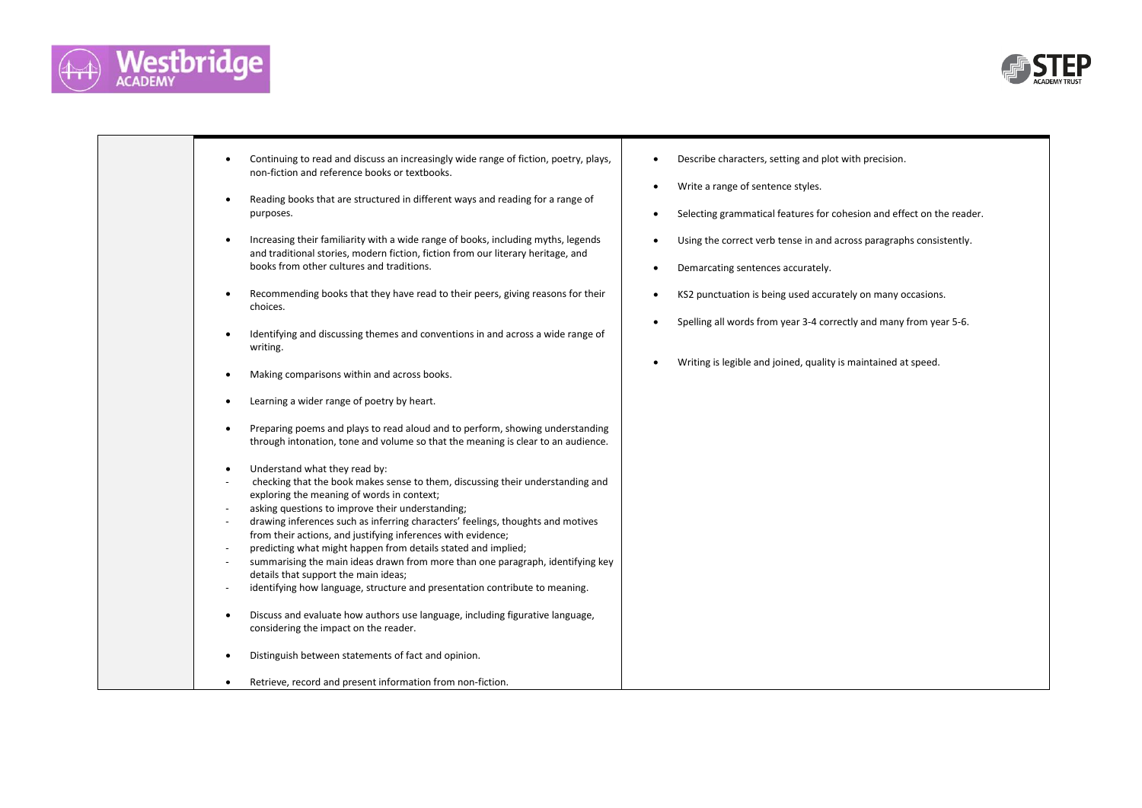



| Continuing to read and discuss an increasingly wide range of fiction, poetry, plays,<br>non-fiction and reference books or textbooks.<br>Reading books that are structured in different ways and reading for a range of<br>purposes.<br>Increasing their familiarity with a wide range of books, including myths, legends<br>and traditional stories, modern fiction, fiction from our literary heritage, and<br>books from other cultures and traditions.<br>Recommending books that they have read to their peers, giving reasons for their<br>choices.<br>Identifying and discussing themes and conventions in and across a wide range of<br>writing.<br>Making comparisons within and across books.<br>Learning a wider range of poetry by heart.<br>Preparing poems and plays to read aloud and to perform, showing understanding<br>through intonation, tone and volume so that the meaning is clear to an audience.<br>Understand what they read by:<br>checking that the book makes sense to them, discussing their understanding and<br>exploring the meaning of words in context;<br>asking questions to improve their understanding;<br>drawing inferences such as inferring characters' feelings, thoughts and motives<br>from their actions, and justifying inferences with evidence;<br>predicting what might happen from details stated and implied;<br>summarising the main ideas drawn from more than one paragraph, identifying key<br>details that support the main ideas;<br>identifying how language, structure and presentation contribute to meaning.<br>Discuss and evaluate how authors use language, including figurative language,<br>considering the impact on the reader. | Describe characters, setting and plot with precision.<br>$\bullet$<br>Write a range of sentence styles.<br>$\bullet$<br>Selecting grammatical features for cohesion and effect on the reader.<br>$\bullet$<br>Using the correct verb tense in and across paragraphs consistently.<br>$\bullet$<br>Demarcating sentences accurately.<br>$\bullet$<br>KS2 punctuation is being used accurately on many occasions.<br>$\bullet$<br>Spelling all words from year 3-4 correctly and many from year 5-6.<br>$\bullet$<br>Writing is legible and joined, quality is maintained at speed.<br>$\bullet$ |
|--------------------------------------------------------------------------------------------------------------------------------------------------------------------------------------------------------------------------------------------------------------------------------------------------------------------------------------------------------------------------------------------------------------------------------------------------------------------------------------------------------------------------------------------------------------------------------------------------------------------------------------------------------------------------------------------------------------------------------------------------------------------------------------------------------------------------------------------------------------------------------------------------------------------------------------------------------------------------------------------------------------------------------------------------------------------------------------------------------------------------------------------------------------------------------------------------------------------------------------------------------------------------------------------------------------------------------------------------------------------------------------------------------------------------------------------------------------------------------------------------------------------------------------------------------------------------------------------------------------------------------------------------------------------------------------------------------|------------------------------------------------------------------------------------------------------------------------------------------------------------------------------------------------------------------------------------------------------------------------------------------------------------------------------------------------------------------------------------------------------------------------------------------------------------------------------------------------------------------------------------------------------------------------------------------------|
| Distinguish between statements of fact and opinion.<br>Retrieve, record and present information from non-fiction.                                                                                                                                                                                                                                                                                                                                                                                                                                                                                                                                                                                                                                                                                                                                                                                                                                                                                                                                                                                                                                                                                                                                                                                                                                                                                                                                                                                                                                                                                                                                                                                      |                                                                                                                                                                                                                                                                                                                                                                                                                                                                                                                                                                                                |